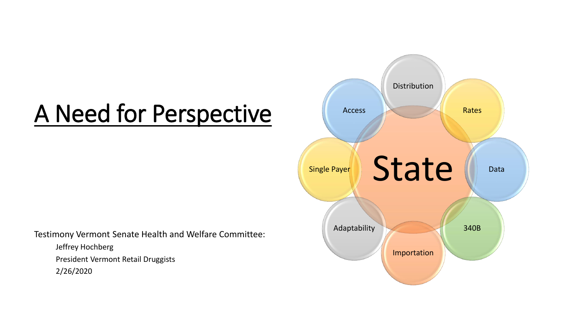# A Need for Perspective

Testimony Vermont Senate Health and Welfare Committee: Jeffrey Hochberg President Vermont Retail Druggists

2/26/2020

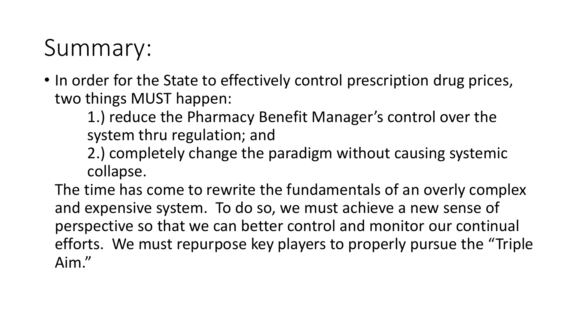# Summary:

• In order for the State to effectively control prescription drug prices, two things MUST happen:

1.) reduce the Pharmacy Benefit Manager's control over the system thru regulation; and

2.) completely change the paradigm without causing systemic collapse.

The time has come to rewrite the fundamentals of an overly complex and expensive system. To do so, we must achieve a new sense of perspective so that we can better control and monitor our continual efforts. We must repurpose key players to properly pursue the "Triple Aim."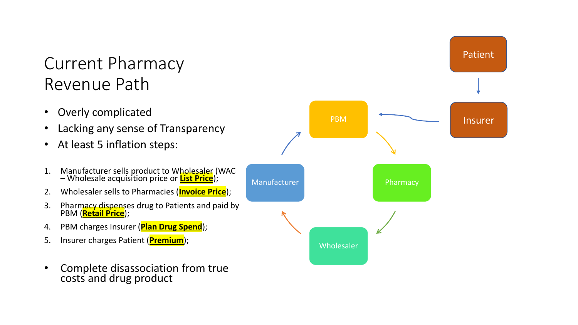### Current Pharmacy Revenue Path

- Overly complicated
- Lacking any sense of Transparency
- At least 5 inflation steps:
- 1. Manufacturer sells product to Wholesaler (WAC – Wholesale acquisition price or **List Price**);
- 2. Wholesaler sells to Pharmacies (**Invoice Price**);
- 3. Pharmacy dispenses drug to Patients and paid by PBM (**Retail Price**);
- 4. PBM charges Insurer (**Plan Drug Spend**);
- 5. Insurer charges Patient (**Premium**);
- Complete disassociation from true costs and drug product

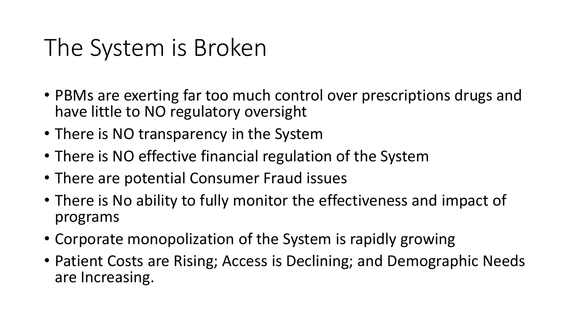### The System is Broken

- PBMs are exerting far too much control over prescriptions drugs and have little to NO regulatory oversight
- There is NO transparency in the System
- There is NO effective financial regulation of the System
- There are potential Consumer Fraud issues
- There is No ability to fully monitor the effectiveness and impact of programs
- Corporate monopolization of the System is rapidly growing
- Patient Costs are Rising; Access is Declining; and Demographic Needs are Increasing.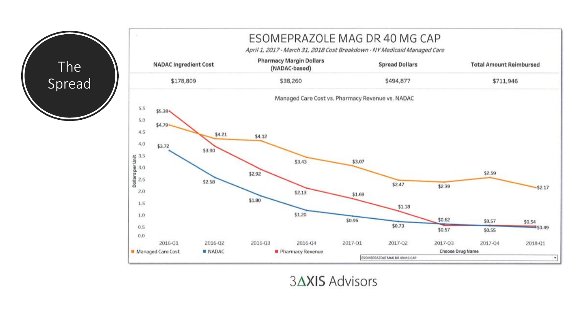



### 3 AXIS Advisors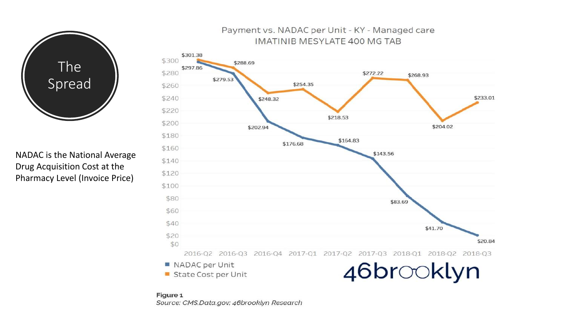

NADAC is the National Average Drug Acquisition Cost at the Pharmacy Level (Invoice Price)



#### Payment vs. NADAC per Unit - KY - Managed care IMATINIB MESYLATE 400 MG TAB

Figure 1 Source: CMS.Data.gov; 46brooklyn Research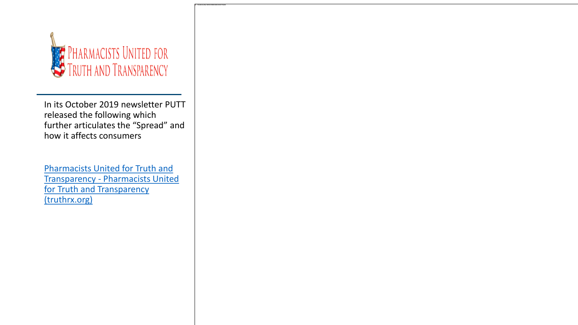

In its October 2019 newsletter PUTT released the following which further articulates the "Spread" and how it affects consumers

[Pharmacists United for Truth and](https://www.truthrx.org/)  Transparency - Pharmacists United for Truth and Transparency (truthrx.org)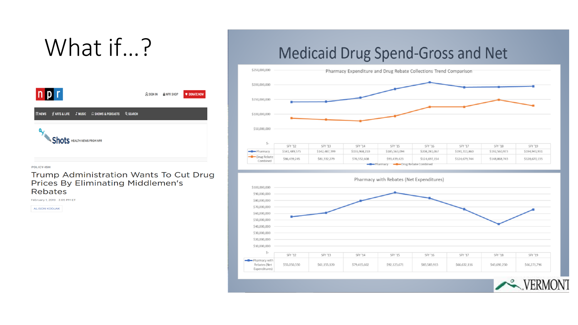# What if…?

| npr                        |  |                                                         |  | <b>A SIGN IN A NPR SHOP</b> | <b>V</b> DONATE NOW |
|----------------------------|--|---------------------------------------------------------|--|-----------------------------|---------------------|
|                            |  |                                                         |  |                             |                     |
|                            |  | EINEWS YARTS & LIFE J'MUSIC C SHOWS & PODCASTS Q SEARCH |  |                             |                     |
|                            |  |                                                         |  |                             |                     |
| Shots HEALTH NEWS FROM NPR |  |                                                         |  |                             |                     |

POLICY-ISH

Trump Administration Wants To Cut Drug **Prices By Eliminating Middlemen's Rebates** 

February 1, 2019 - 3:05 PM ET

**ALISON KODJAK** 

### **Medicaid Drug Spend-Gross and Net**





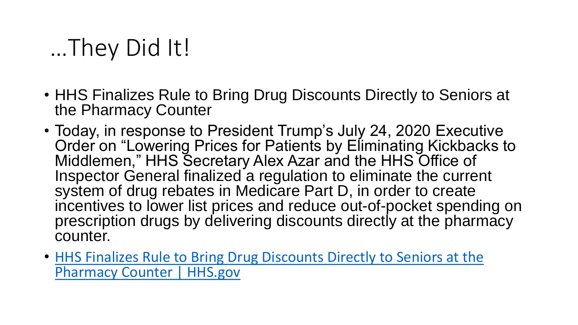### …They Did It!

- HHS Finalizes Rule to Bring Drug Discounts Directly to Seniors at the Pharmacy Counter
- Today, in response to President Trump's July 24, 2020 Executive Order on "Lowering Prices for Patients by Eliminating Kickbacks to Middlemen," HHS Secretary Alex Azar and the HHS Office of Inspector General finalized a regulation to eliminate the current system of drug rebates in Medicare Part D, in order to create incentives to lower list prices and reduce out-of-pocket spending on prescription drugs by delivering discounts directly at the pharmacy counter.
- [HHS Finalizes Rule to Bring Drug Discounts Directly to Seniors at the](https://www.hhs.gov/about/news/2020/11/20/hhs-finalizes-rule-bring-drug-discounts-directly-seniors-pharmacy-counter.html)  Pharmacy Counter | HHS.gov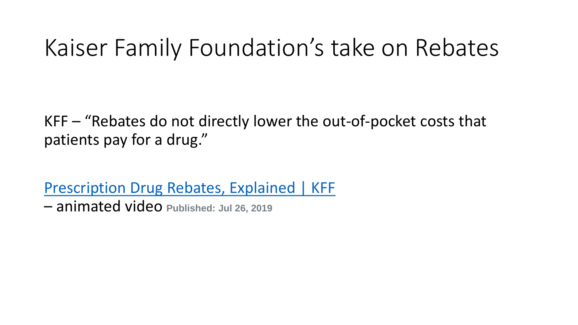### Kaiser Family Foundation's take on Rebates

KFF – "Rebates do not directly lower the out-of-pocket costs that patients pay for a drug."

[Prescription Drug Rebates, Explained | KFF](https://www.kff.org/medicare/video/prescription-drug-rebates-explained/)

– animated video **Published: Jul 26, 2019**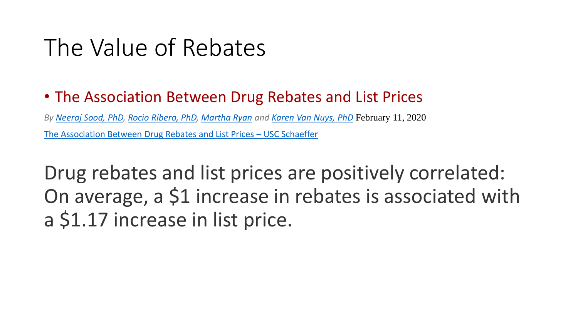### The Value of Rebates

### • The Association Between Drug Rebates and List Prices

*By [Neeraj Sood, PhD,](https://healthpolicy.usc.edu/author/neeraj-sood-ph-d/) [Rocio Ribero, PhD,](https://healthpolicy.usc.edu/author/rocio-ribero-phd/) [Martha Ryan](https://healthpolicy.usc.edu/author/martha-ryan/) and [Karen Van Nuys, PhD](https://healthpolicy.usc.edu/author/karen-van-nuys-ph-d/)* February 11, 2020 [The Association Between Drug Rebates and List Prices](https://healthpolicy.usc.edu/research/the-association-between-drug-rebates-and-list-prices/) – USC Schaeffer

Drug rebates and list prices are positively correlated: On average, a \$1 increase in rebates is associated with a \$1.17 increase in list price.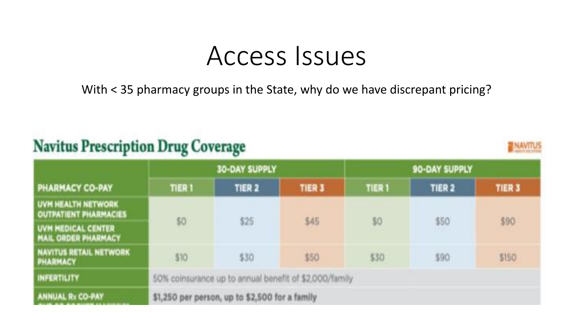### Access Issues

With < 35 pharmacy groups in the State, why do we have discrepant pricing?

| <b>Navitus Prescription Drug Coverage</b><br><b>NAVITUS</b> |                                                        |        |        |                   |                   |        |  |
|-------------------------------------------------------------|--------------------------------------------------------|--------|--------|-------------------|-------------------|--------|--|
|                                                             | 30-DAY SUPPLY                                          |        |        | 90-DAY SUPPLY     |                   |        |  |
| <b>PHARMACY CO-PAY</b>                                      | TIER 1                                                 | TIER 2 | TIER 3 | TIER <sub>1</sub> | TIER <sub>2</sub> | TIER 3 |  |
| <b>UVM HEALTH NETWORK</b><br><b>OUTPATIENT PHARMACIES</b>   | \$0                                                    | \$25   | \$45   | \$0               | \$50              | \$90   |  |
| UVM MEDICAL CENTER<br><b>MAIL ORDER PHARMACY</b>            |                                                        |        |        |                   |                   |        |  |
| <b>NAVITUS RETAIL NETWORK</b><br><b>PHARMACY</b>            | 510                                                    | \$30   | \$50   | \$30              | \$90              | \$150  |  |
| <b>INFERTILITY</b>                                          | 50% coinsurance up to annual benefit of \$2,000/family |        |        |                   |                   |        |  |
| <b>ANNUAL Rx CO-PAY</b>                                     | \$1,250 per person, up to \$2,500 for a family         |        |        |                   |                   |        |  |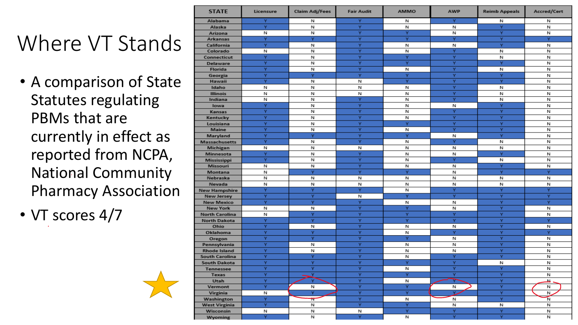# Where VT Stands

• A comparison of State Statutes regulating PBMs that are currently in effect as reported from NCPA, National Community Pharmacy Association

• VT scores 4/7

| <b>STATE</b>          | Licensure | <b>Claim Adj/Fees</b> | <b>Fair Audit</b> | AMMO | <b>AWP</b> | <b>Reimb Appeals</b> | Accred/Cert |
|-----------------------|-----------|-----------------------|-------------------|------|------------|----------------------|-------------|
| Alabama               | Y         | Ν                     | Y                 | и    | Y          | Ν                    | N           |
| Alaska                | Y         | N                     | Y                 | N    | N          | Ÿ                    | N           |
| Arizona               | N         | N                     | Ÿ                 | Y    | Ν          | Ÿ                    | Ν           |
| Arkansas              | Y         | Y                     | Y                 | Y    | Y          | Y                    | Ÿ           |
| California            | Y         | N                     | Y                 | И    | N          | Y                    | N           |
| Colorado              | N         | Ν                     | Y                 | Ν    | Y          | N                    | Ν           |
| Connecticut           | Ÿ         | N                     | Y                 | Y    | Y          | N                    | N           |
| <b>Delaware</b>       | Ÿ         | N                     | Y                 | Y    | Y          | Y                    | N           |
| Florida               | Ÿ         | Ν                     | Y                 | Ν    | Y          | Ν                    | Ν           |
| Georgia               | Ÿ         | Ÿ                     | Ÿ                 | Y    | Y          | Ÿ                    | N           |
| Hawaii                | Y         | N                     | Ν                 | Y    | Y          | Y                    | N           |
| Idaho                 | N         | N                     | Ν                 | Ν    | Y          | N                    | N           |
| <b>Illinois</b>       | N         | N                     | Ν                 | Ν    | Y          | N                    | N           |
| Indiana               | N         | N                     | Y                 | Ν    | Y          | N                    | N           |
|                       | Y         | N                     | Y                 | Ν    | N          | Ÿ                    | Ν           |
| lowa                  | Ÿ         | N                     | Ÿ                 | N    | Y          | Y                    | N           |
| Kansas                |           |                       |                   |      |            |                      |             |
| Kentucky              | Ÿ         | N                     | Y                 | и    | Y          | Y                    | N           |
| Louisiana             | Ÿ         | Ν                     | Ÿ                 | Y    | Y          | Ÿ                    | N           |
| <b>Maine</b>          | Ÿ         | N                     | Ÿ                 | и    | Y          | Y                    | N           |
| Maryland              | Ÿ         | Y                     | Ÿ                 | Y    | N          | Ÿ                    | N           |
| <b>Massachusetts</b>  | Ÿ         | N                     | Y                 | Ν    | Y          | N                    | N           |
| Michigan              | N         | N                     | N                 | и    | N          | N                    | N           |
| Minnesota             | Y         | N                     | Y                 | N    | N          | Y                    | N           |
| Mississippi           | Y         | Ν                     | Y                 | Ν    | Y          | N                    | Ν           |
| Missouri              | N         | N                     | Y                 | N    | N          | Y                    | N           |
| Montana               | N         | Y                     | Y                 | Y    | N          | Ÿ                    | Ÿ           |
| Nebraska              | Ν         | Ν                     | Ν                 | Ν    | N          | N                    | N           |
| Nevada                | N         | Ν                     | Ν                 | и    | N          | N                    | N           |
| <b>New Hampshire</b>  | Ÿ         | Ÿ                     | Ÿ                 | Ν    | Ÿ          | Ÿ                    | Ÿ           |
| <b>New Jersey</b>     | Y         | Y                     | И                 | Y    | Y          | Y                    | Y           |
| <b>New Mexico</b>     | Y         | Y                     | Y                 | N    | N          | Y                    | Y           |
| <b>New York</b>       | N         | N                     | Y                 | Y    | Ν          | Ÿ                    | N           |
| <b>North Carolina</b> | N         | Ÿ                     | Ÿ                 | Y.   | Y          | Y                    | Ν           |
| <b>North Dakota</b>   | Y         | Y                     | Y                 | Y    | Y          | Y                    | v           |
| Ohio                  | Y         | N                     | Υ                 | И    | N          | Y                    | N           |
| Oklahoma              | Ÿ         | Y                     | Ÿ                 | Ν    | Y          | Ÿ                    | v           |
| Oregon                | Y         | Y                     | Y                 | Y    | N          | Ÿ                    | N           |
| Pennsylvania          | Ÿ         | N                     | Ÿ                 | и    | N          | Ÿ                    | Ν           |
| <b>Rhode Island</b>   | Ÿ         | N                     | Ÿ                 | Ν    | N          | Ÿ.                   | N           |
| South Carolina        | Ÿ         | Y                     | Y                 | N    | Y          | Y                    | N           |
| South Dakota          | Y         | Y                     | Y                 | Y    | Y          | N                    | N           |
| Tennessee             | Y         | Ÿ                     | Y                 | И    | Y          | Ÿ                    | и           |
| Texas                 | Ÿ         | Y                     | Y                 | Y    | Y          | Y                    | N           |
| Utah                  | Y         | Ÿ                     | Y                 | N    |            | Y                    | м           |
| Vermont               | Ÿ         | N                     | Ÿ                 | Y    | N          | Ÿ                    | N           |
| Virginia              | Ν         | Ÿ                     | Ÿ                 | Y    |            | Ÿ                    | N           |
| Washington            | Y         | N                     | Ÿ                 | и    | N          | Y                    | N           |
| <b>West Virginia</b>  | Y         | Ν                     | Y                 | Y    | N          | N                    | N           |
|                       | N         | N                     | N                 | Y    | Y          | Ÿ                    | N           |
| Wisconsin             | Ÿ         | N                     | Y                 | N    | Y          | Ÿ                    | N           |
| Wyoming               |           |                       |                   |      |            |                      |             |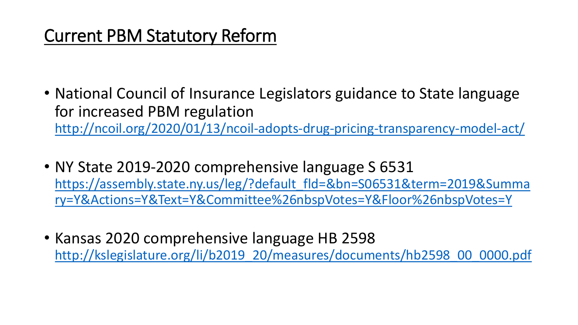### Current PBM Statutory Reform

- National Council of Insurance Legislators guidance to State language for increased PBM regulation <http://ncoil.org/2020/01/13/ncoil-adopts-drug-pricing-transparency-model-act/>
- NY State 2019-2020 comprehensive language S 6531 [https://assembly.state.ny.us/leg/?default\\_fld=&bn=S06531&term=2019&Summa](https://assembly.state.ny.us/leg/?default_fld=&bn=S06531&term=2019&Summary=Y&Actions=Y&Text=Y&Committee%26nbspVotes=Y&Floor%26nbspVotes=Y) ry=Y&Actions=Y&Text=Y&Committee%26nbspVotes=Y&Floor%26nbspVotes=Y
- Kansas 2020 comprehensive language HB 2598 [http://kslegislature.org/li/b2019\\_20/measures/documents/hb2598\\_00\\_0000.pdf](http://kslegislature.org/li/b2019_20/measures/documents/hb2598_00_0000.pdf)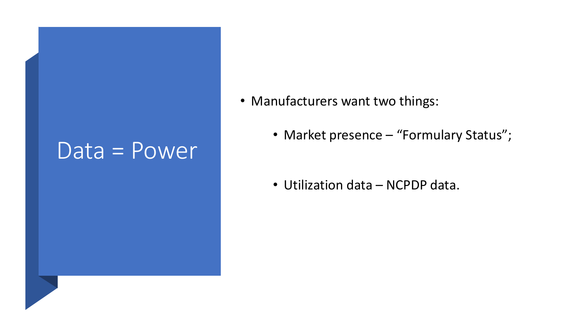### Data = Power

- Manufacturers want two things:
	- Market presence "Formulary Status";

• Utilization data – NCPDP data.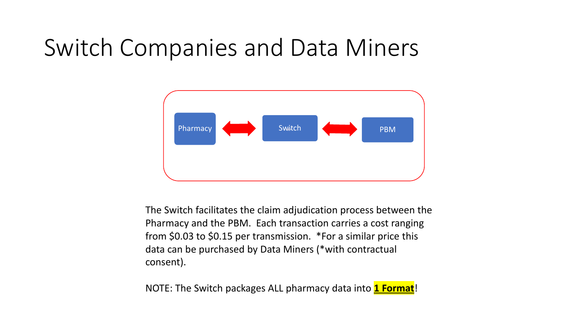### Switch Companies and Data Miners



The Switch facilitates the claim adjudication process between the Pharmacy and the PBM. Each transaction carries a cost ranging from \$0.03 to \$0.15 per transmission. \*For a similar price this data can be purchased by Data Miners (\*with contractual consent).

NOTE: The Switch packages ALL pharmacy data into **1 Format**!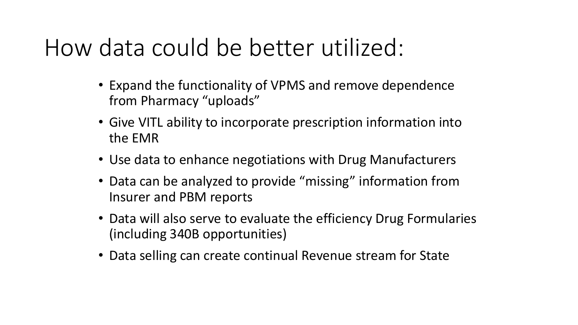### How data could be better utilized:

- Expand the functionality of VPMS and remove dependence from Pharmacy "uploads"
- Give VITL ability to incorporate prescription information into the EMR
- Use data to enhance negotiations with Drug Manufacturers
- Data can be analyzed to provide "missing" information from Insurer and PBM reports
- Data will also serve to evaluate the efficiency Drug Formularies (including 340B opportunities)
- Data selling can create continual Revenue stream for State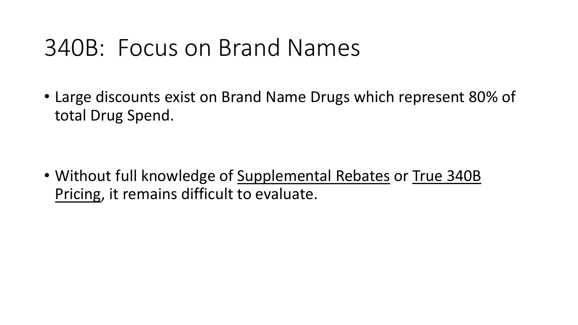### 340B: Focus on Brand Names

• Large discounts exist on Brand Name Drugs which represent 80% of total Drug Spend.

• Without full knowledge of Supplemental Rebates or True 340B Pricing, it remains difficult to evaluate.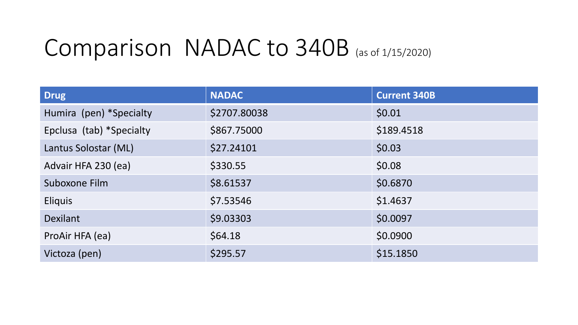### Comparison NADAC to 340B (as of 1/15/2020)

| <b>Drug</b>              | <b>NADAC</b> | <b>Current 340B</b> |
|--------------------------|--------------|---------------------|
| Humira (pen) *Specialty  | \$2707.80038 | \$0.01              |
| Epclusa (tab) *Specialty | \$867.75000  | \$189.4518          |
| Lantus Solostar (ML)     | \$27.24101   | \$0.03              |
| Advair HFA 230 (ea)      | \$330.55     | \$0.08              |
| Suboxone Film            | \$8.61537    | \$0.6870            |
| <b>Eliquis</b>           | \$7.53546    | \$1.4637            |
| <b>Dexilant</b>          | \$9.03303    | \$0.0097            |
| ProAir HFA (ea)          | \$64.18      | \$0.0900            |
| Victoza (pen)            | \$295.57     | \$15.1850           |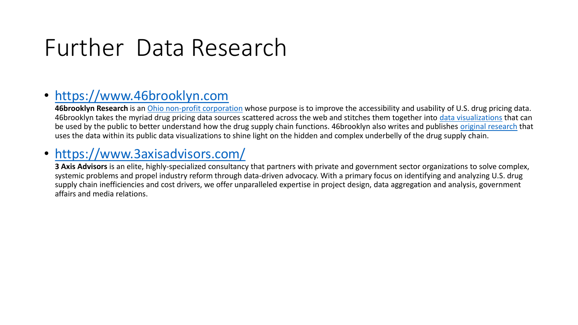### Further Data Research

### • [https://www.46brooklyn.com](https://www.46brooklyn.com/)

**46brooklyn Research** is an [Ohio non-profit corporation](https://businesssearch.sos.state.oh.us/?=businessDetails/4281234) whose purpose is to improve the accessibility and usability of U.S. drug pricing data. 46brooklyn takes the myriad drug pricing data sources scattered across the web and stitches them together into [data visualizations](https://www.46brooklyn.com/visualizations) that can be used by the public to better understand how the drug supply chain functions. 46brooklyn also writes and publishes [original research](https://www.46brooklyn.com/research) that uses the data within its public data visualizations to shine light on the hidden and complex underbelly of the drug supply chain.

### • <https://www.3axisadvisors.com/>

**3 Axis Advisors** is an elite, highly-specialized consultancy that partners with private and government sector organizations to solve complex, systemic problems and propel industry reform through data-driven advocacy. With a primary focus on identifying and analyzing U.S. drug supply chain inefficiencies and cost drivers, we offer unparalleled expertise in project design, data aggregation and analysis, government affairs and media relations.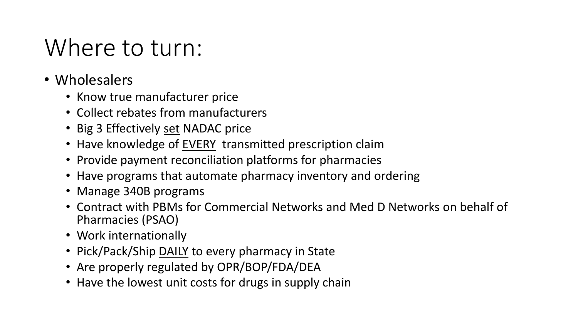### Where to turn:

- Wholesalers
	- Know true manufacturer price
	- Collect rebates from manufacturers
	- Big 3 Effectively set NADAC price
	- Have knowledge of **EVERY** transmitted prescription claim
	- Provide payment reconciliation platforms for pharmacies
	- Have programs that automate pharmacy inventory and ordering
	- Manage 340B programs
	- Contract with PBMs for Commercial Networks and Med D Networks on behalf of Pharmacies (PSAO)
	- Work internationally
	- Pick/Pack/Ship DAILY to every pharmacy in State
	- Are properly regulated by OPR/BOP/FDA/DEA
	- Have the lowest unit costs for drugs in supply chain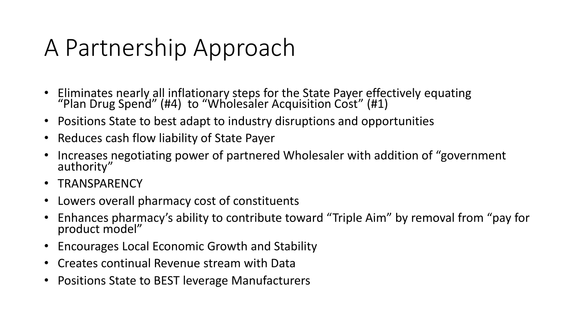## A Partnership Approach

- Eliminates nearly all inflationary steps for the State Payer effectively equating "Plan Drug Spend" (#4) to "Wholesaler Acquisition Cost" (#1)
- Positions State to best adapt to industry disruptions and opportunities
- Reduces cash flow liability of State Payer
- Increases negotiating power of partnered Wholesaler with addition of "government authority"
- TRANSPARENCY
- Lowers overall pharmacy cost of constituents
- Enhances pharmacy's ability to contribute toward "Triple Aim" by removal from "pay for product model"
- Encourages Local Economic Growth and Stability
- Creates continual Revenue stream with Data
- Positions State to BEST leverage Manufacturers